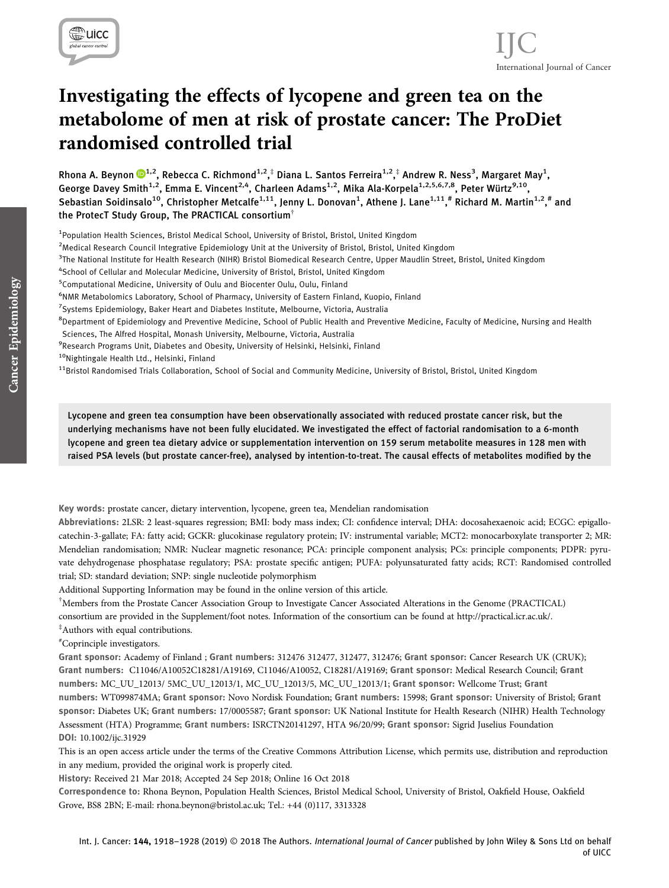

# Investigating the effects of lycopene and green tea on the metabolome of men at risk of prostate cancer: The ProDiet randomised controlled trial

Rhona A. Beynon  $\mathbf{D}^{1,2}$  $\mathbf{D}^{1,2}$  $\mathbf{D}^{1,2}$ , Rebecca C. Richmond $^{1,2,\ddagger}$  Diana L. Santos Ferreira $^{1,2,\ddagger}$  Andrew R. Ness $^3$ , Margaret May $^1$ , George Davey Smith<sup>1,2</sup>, Emma E. Vincent<sup>2,4</sup>, Charleen Adams<sup>1,2</sup>, Mika Ala-Korpela<sup>1,2,5,6,7,8</sup>, Peter Würtz<sup>9,10</sup>, Sebastian Soidinsalo<sup>10</sup>, Christopher Metcalfe<sup>1,11</sup>, Jenny L. Donovan<sup>1</sup>, Athene J. Lane<sup>1,11</sup>,# Richard M. Martin<sup>1,2</sup>,# and the ProtecT Study Group, The PRACTICAL consortium†

<sup>1</sup> Population Health Sciences, Bristol Medical School, University of Bristol, Bristol, United Kingdom

<sup>2</sup>Medical Research Council Integrative Epidemiology Unit at the University of Bristol, Bristol, United Kingdom

<sup>3</sup>The National Institute for Health Research (NIHR) Bristol Biomedical Research Centre, Upper Maudlin Street, Bristol, United Kingdom

4 School of Cellular and Molecular Medicine, University of Bristol, Bristol, United Kingdom

<sup>5</sup> Computational Medicine, University of Oulu and Biocenter Oulu, Oulu, Finland

6 NMR Metabolomics Laboratory, School of Pharmacy, University of Eastern Finland, Kuopio, Finland

7 Systems Epidemiology, Baker Heart and Diabetes Institute, Melbourne, Victoria, Australia

<sup>8</sup>Department of Epidemiology and Preventive Medicine, School of Public Health and Preventive Medicine, Faculty of Medicine, Nursing and Health Sciences, The Alfred Hospital, Monash University, Melbourne, Victoria, Australia

<sup>9</sup>Research Programs Unit, Diabetes and Obesity, University of Helsinki, Helsinki, Finland

10Nightingale Health Ltd., Helsinki, Finland

 $11$ Bristol Randomised Trials Collaboration, School of Social and Community Medicine, University of Bristol, Bristol, United Kingdom

Lycopene and green tea consumption have been observationally associated with reduced prostate cancer risk, but the underlying mechanisms have not been fully elucidated. We investigated the effect of factorial randomisation to a 6-month lycopene and green tea dietary advice or supplementation intervention on 159 serum metabolite measures in 128 men with raised PSA levels (but prostate cancer-free), analysed by intention-to-treat. The causal effects of metabolites modified by the

Key words: prostate cancer, dietary intervention, lycopene, green tea, Mendelian randomisation

Abbreviations: 2LSR: 2 least-squares regression; BMI: body mass index; CI: confidence interval; DHA: docosahexaenoic acid; ECGC: epigallocatechin-3-gallate; FA: fatty acid; GCKR: glucokinase regulatory protein; IV: instrumental variable; MCT2: monocarboxylate transporter 2; MR: Mendelian randomisation; NMR: Nuclear magnetic resonance; PCA: principle component analysis; PCs: principle components; PDPR: pyruvate dehydrogenase phosphatase regulatory; PSA: prostate specific antigen; PUFA: polyunsaturated fatty acids; RCT: Randomised controlled trial; SD: standard deviation; SNP: single nucleotide polymorphism

Additional Supporting Information may be found in the online version of this article.

† Members from the Prostate Cancer Association Group to Investigate Cancer Associated Alterations in the Genome (PRACTICAL) consortium are provided in the Supplement/foot notes. Information of the consortium can be found at<http://practical.icr.ac.uk/>.

‡ Authors with equal contributions.

# Coprinciple investigators.

Grant sponsor: Academy of Finland ; Grant numbers: 312476 312477, 312477, 312476; Grant sponsor: Cancer Research UK (CRUK); Grant numbers: C11046/A10052C18281/A19169, C11046/A10052, C18281/A19169; Grant sponsor: Medical Research Council; Grant numbers: MC\_UU\_12013/ 5MC\_UU\_12013/1, MC\_UU\_12013/5, MC\_UU\_12013/1; Grant sponsor: Wellcome Trust; Grant numbers: WT099874MA; Grant sponsor: Novo Nordisk Foundation; Grant numbers: 15998; Grant sponsor: University of Bristol; Grant sponsor: Diabetes UK; Grant numbers: 17/0005587; Grant sponsor: UK National Institute for Health Research (NIHR) Health Technology Assessment (HTA) Programme; Grant numbers: ISRCTN20141297, HTA 96/20/99; Grant sponsor: Sigrid Juselius Foundation DOI: 10.1002/ijc.31929

This is an open access article under the terms of the [Creative Commons Attribution](http://creativecommons.org/licenses/by/4.0/) License, which permits use, distribution and reproduction in any medium, provided the original work is properly cited.

History: Received 21 Mar 2018; Accepted 24 Sep 2018; Online 16 Oct 2018

Correspondence to: Rhona Beynon, Population Health Sciences, Bristol Medical School, University of Bristol, Oakfield House, Oakfield Grove, BS8 2BN; E-mail: [rhona.beynon@bristol.ac.uk](mailto:rhona.beynon@bristol.ac.uk); Tel.: +44 (0)117, 3313328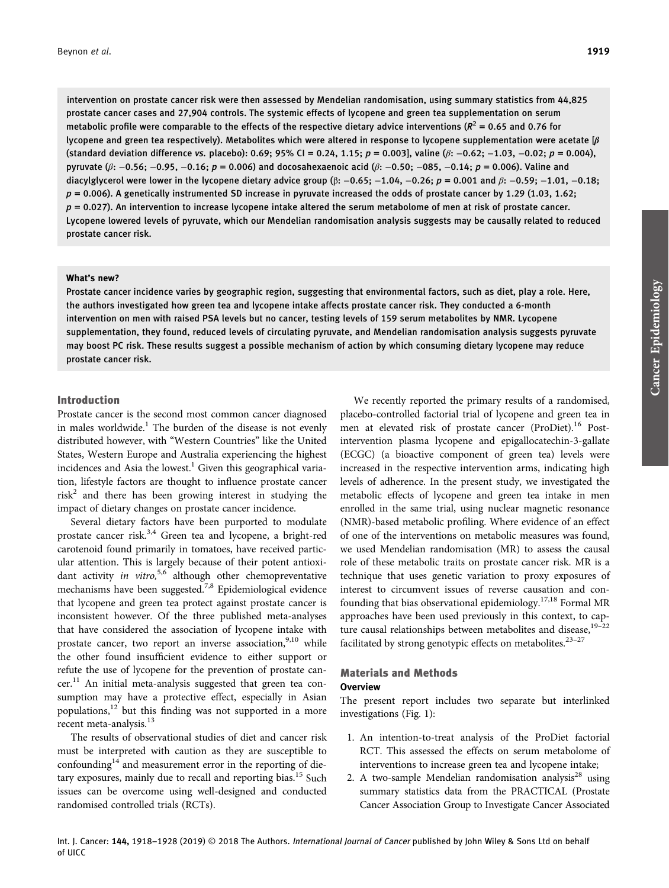intervention on prostate cancer risk were then assessed by Mendelian randomisation, using summary statistics from 44,825 prostate cancer cases and 27,904 controls. The systemic effects of lycopene and green tea supplementation on serum metabolic profile were comparable to the effects of the respective dietary advice interventions ( $R^2$  = 0.65 and 0.76 for lycopene and green tea respectively). Metabolites which were altered in response to lycopene supplementation were acetate  $[\beta]$ (standard deviation difference vs. placebo): 0.69; 95% CI = 0.24, 1.15; p = 0.003], valine ( $\beta$ : -0.62; -1.03, -0.02; p = 0.004), pyruvate ( $\beta$ : -0.56; -0.95, -0.16; p = 0.006) and docosahexaenoic acid ( $\beta$ : -0.50; -085, -0.14; p = 0.006). Valine and diacylglycerol were lower in the lycopene dietary advice group  $(\beta: -0.65; -1.04, -0.26; p = 0.001$  and  $\beta: -0.59; -1.01, -0.18;$  $p = 0.006$ ). A genetically instrumented SD increase in pyruvate increased the odds of prostate cancer by 1.29 (1.03, 1.62;  $p = 0.027$ ). An intervention to increase lycopene intake altered the serum metabolome of men at risk of prostate cancer. Lycopene lowered levels of pyruvate, which our Mendelian randomisation analysis suggests may be causally related to reduced prostate cancer risk.

## What's new?

Prostate cancer incidence varies by geographic region, suggesting that environmental factors, such as diet, play a role. Here, the authors investigated how green tea and lycopene intake affects prostate cancer risk. They conducted a 6-month intervention on men with raised PSA levels but no cancer, testing levels of 159 serum metabolites by NMR. Lycopene supplementation, they found, reduced levels of circulating pyruvate, and Mendelian randomisation analysis suggests pyruvate may boost PC risk. These results suggest a possible mechanism of action by which consuming dietary lycopene may reduce prostate cancer risk.

# Introduction

Prostate cancer is the second most common cancer diagnosed in males worldwide. $1$  The burden of the disease is not evenly distributed however, with "Western Countries" like the United States, Western Europe and Australia experiencing the highest incidences and Asia the lowest.<sup>1</sup> Given this geographical variation, lifestyle factors are thought to influence prostate cancer risk<sup>2</sup> and there has been growing interest in studying the impact of dietary changes on prostate cancer incidence.

Several dietary factors have been purported to modulate prostate cancer risk.3,4 Green tea and lycopene, a bright-red carotenoid found primarily in tomatoes, have received particular attention. This is largely because of their potent antioxidant activity in vitro,  $5.6$  although other chemopreventative mechanisms have been suggested.<sup>7,8</sup> Epidemiological evidence that lycopene and green tea protect against prostate cancer is inconsistent however. Of the three published meta-analyses that have considered the association of lycopene intake with prostate cancer, two report an inverse association, $9,10$  while the other found insufficient evidence to either support or refute the use of lycopene for the prevention of prostate can $cer<sup>11</sup>$  An initial meta-analysis suggested that green tea consumption may have a protective effect, especially in Asian populations,12 but this finding was not supported in a more recent meta-analysis.<sup>13</sup>

The results of observational studies of diet and cancer risk must be interpreted with caution as they are susceptible to confounding $14$  and measurement error in the reporting of dietary exposures, mainly due to recall and reporting bias.<sup>15</sup> Such issues can be overcome using well-designed and conducted randomised controlled trials (RCTs).

We recently reported the primary results of a randomised, placebo-controlled factorial trial of lycopene and green tea in men at elevated risk of prostate cancer (ProDiet).<sup>16</sup> Postintervention plasma lycopene and epigallocatechin-3-gallate (ECGC) (a bioactive component of green tea) levels were increased in the respective intervention arms, indicating high levels of adherence. In the present study, we investigated the metabolic effects of lycopene and green tea intake in men enrolled in the same trial, using nuclear magnetic resonance (NMR)-based metabolic profiling. Where evidence of an effect of one of the interventions on metabolic measures was found, we used Mendelian randomisation (MR) to assess the causal role of these metabolic traits on prostate cancer risk. MR is a technique that uses genetic variation to proxy exposures of interest to circumvent issues of reverse causation and confounding that bias observational epidemiology.<sup>17,18</sup> Formal MR approaches have been used previously in this context, to capture causal relationships between metabolites and disease,<sup>19-22</sup> facilitated by strong genotypic effects on metabolites. $23-27$ 

# Materials and Methods **Overview**

The present report includes two separate but interlinked investigations (Fig. 1):

- 1. An intention-to-treat analysis of the ProDiet factorial RCT. This assessed the effects on serum metabolome of interventions to increase green tea and lycopene intake;
- 2. A two-sample Mendelian randomisation analysis<sup>28</sup> using summary statistics data from the PRACTICAL (Prostate Cancer Association Group to Investigate Cancer Associated

Cancer EpidemiologyCancer Epidemiology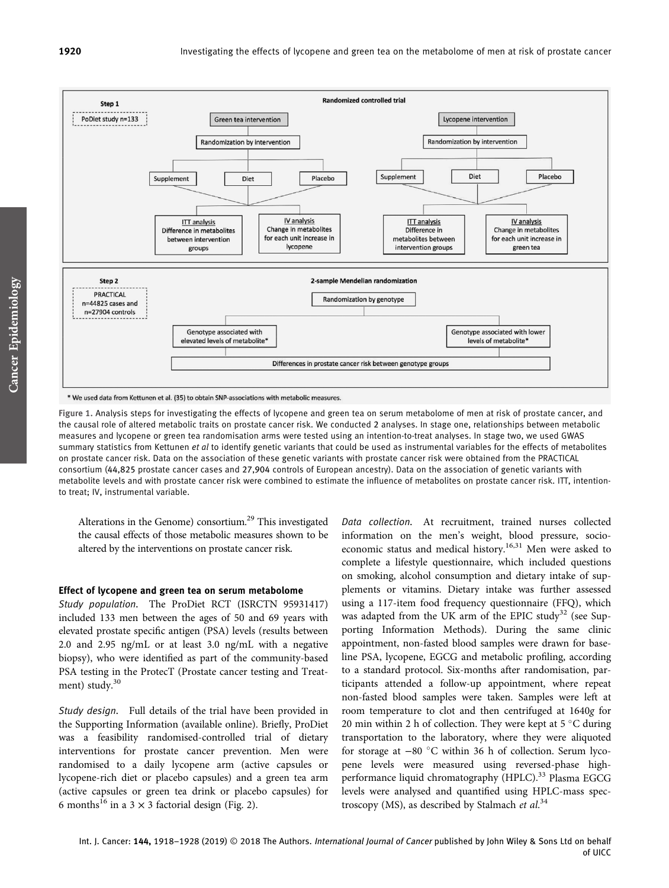

Figure 1. Analysis steps for investigating the effects of lycopene and green tea on serum metabolome of men at risk of prostate cancer, and the causal role of altered metabolic traits on prostate cancer risk. We conducted 2 analyses. In stage one, relationships between metabolic measures and lycopene or green tea randomisation arms were tested using an intention-to-treat analyses. In stage two, we used GWAS summary statistics from Kettunen et al to identify genetic variants that could be used as instrumental variables for the effects of metabolites

on prostate cancer risk. Data on the association of these genetic variants with prostate cancer risk were obtained from the PRACTICAL consortium (44,825 prostate cancer cases and 27,904 controls of European ancestry). Data on the association of genetic variants with metabolite levels and with prostate cancer risk were combined to estimate the influence of metabolites on prostate cancer risk. ITT, intentionto treat; IV, instrumental variable.

Alterations in the Genome) consortium.29 This investigated the causal effects of those metabolic measures shown to be altered by the interventions on prostate cancer risk.

#### Effect of lycopene and green tea on serum metabolome

Study population. The ProDiet RCT (ISRCTN 95931417) included 133 men between the ages of 50 and 69 years with elevated prostate specific antigen (PSA) levels (results between 2.0 and 2.95 ng/mL or at least 3.0 ng/mL with a negative biopsy), who were identified as part of the community-based PSA testing in the ProtecT (Prostate cancer testing and Treatment) study.<sup>30</sup>

Study design. Full details of the trial have been provided in the Supporting Information (available online). Briefly, ProDiet was a feasibility randomised-controlled trial of dietary interventions for prostate cancer prevention. Men were randomised to a daily lycopene arm (active capsules or lycopene-rich diet or placebo capsules) and a green tea arm (active capsules or green tea drink or placebo capsules) for 6 months<sup>16</sup> in a 3  $\times$  3 factorial design (Fig. 2).

Data collection. At recruitment, trained nurses collected information on the men's weight, blood pressure, socioeconomic status and medical history.<sup>16,31</sup> Men were asked to complete a lifestyle questionnaire, which included questions on smoking, alcohol consumption and dietary intake of supplements or vitamins. Dietary intake was further assessed using a 117-item food frequency questionnaire (FFQ), which was adapted from the UK arm of the EPIC study<sup>32</sup> (see Supporting Information Methods). During the same clinic appointment, non-fasted blood samples were drawn for baseline PSA, lycopene, EGCG and metabolic profiling, according to a standard protocol. Six-months after randomisation, participants attended a follow-up appointment, where repeat non-fasted blood samples were taken. Samples were left at room temperature to clot and then centrifuged at 1640g for 20 min within 2 h of collection. They were kept at  $5^{\circ}$ C during transportation to the laboratory, where they were aliquoted for storage at −80 °C within 36 h of collection. Serum lycopene levels were measured using reversed-phase highperformance liquid chromatography (HPLC).<sup>33</sup> Plasma EGCG levels were analysed and quantified using HPLC-mass spectroscopy (MS), as described by Stalmach et al.<sup>34</sup>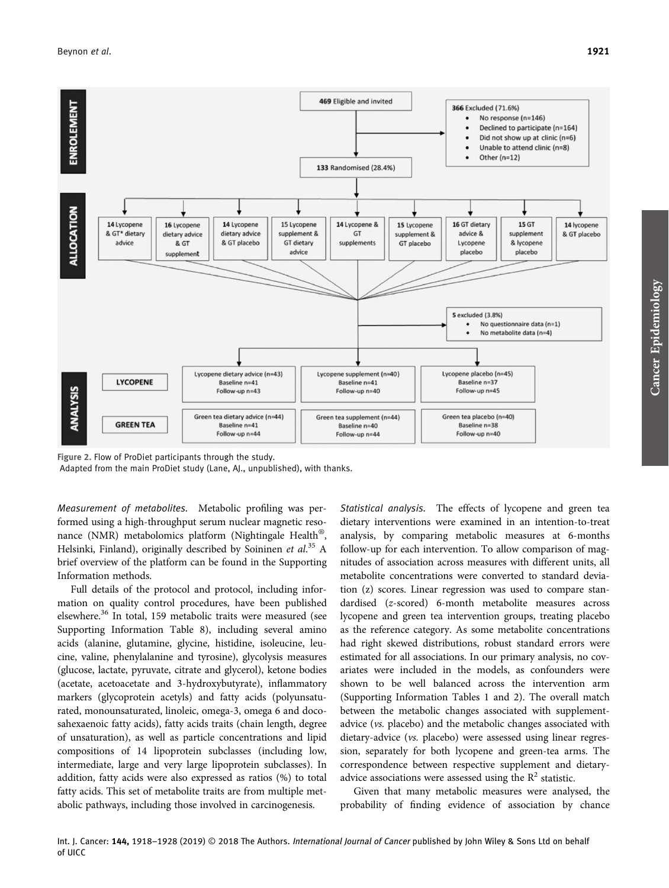

Figure 2. Flow of ProDiet participants through the study. Adapted from the main ProDiet study (Lane, AJ., unpublished), with thanks.

Measurement of metabolites. Metabolic profiling was performed using a high-throughput serum nuclear magnetic resonance (NMR) metabolomics platform (Nightingale Health®, Helsinki, Finland), originally described by Soininen et al.<sup>35</sup> A brief overview of the platform can be found in the Supporting Information methods.

Full details of the protocol and protocol, including information on quality control procedures, have been published elsewhere.<sup>36</sup> In total, 159 metabolic traits were measured (see Supporting Information Table 8), including several amino acids (alanine, glutamine, glycine, histidine, isoleucine, leucine, valine, phenylalanine and tyrosine), glycolysis measures (glucose, lactate, pyruvate, citrate and glycerol), ketone bodies (acetate, acetoacetate and 3-hydroxybutyrate), inflammatory markers (glycoprotein acetyls) and fatty acids (polyunsaturated, monounsaturated, linoleic, omega-3, omega 6 and docosahexaenoic fatty acids), fatty acids traits (chain length, degree of unsaturation), as well as particle concentrations and lipid compositions of 14 lipoprotein subclasses (including low, intermediate, large and very large lipoprotein subclasses). In addition, fatty acids were also expressed as ratios (%) to total fatty acids. This set of metabolite traits are from multiple metabolic pathways, including those involved in carcinogenesis.

Statistical analysis. The effects of lycopene and green tea dietary interventions were examined in an intention-to-treat analysis, by comparing metabolic measures at 6-months follow-up for each intervention. To allow comparison of magnitudes of association across measures with different units, all metabolite concentrations were converted to standard deviation (z) scores. Linear regression was used to compare standardised (z-scored) 6-month metabolite measures across lycopene and green tea intervention groups, treating placebo as the reference category. As some metabolite concentrations had right skewed distributions, robust standard errors were estimated for all associations. In our primary analysis, no covariates were included in the models, as confounders were shown to be well balanced across the intervention arm (Supporting Information Tables 1 and 2). The overall match between the metabolic changes associated with supplementadvice (vs. placebo) and the metabolic changes associated with dietary-advice (vs. placebo) were assessed using linear regression, separately for both lycopene and green-tea arms. The correspondence between respective supplement and dietaryadvice associations were assessed using the  $R^2$  statistic.

Given that many metabolic measures were analysed, the probability of finding evidence of association by chance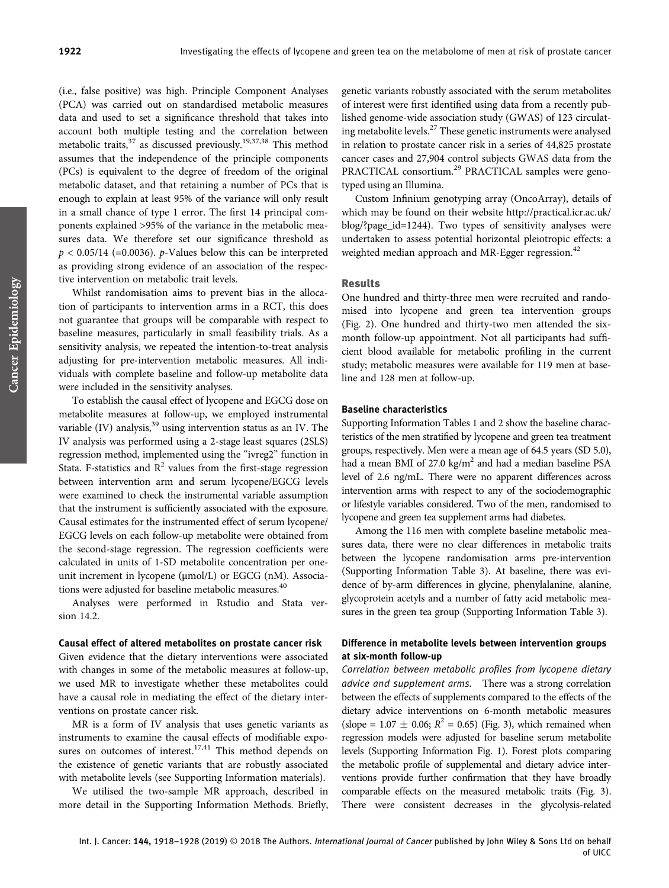(i.e., false positive) was high. Principle Component Analyses (PCA) was carried out on standardised metabolic measures data and used to set a significance threshold that takes into account both multiple testing and the correlation between metabolic traits,<sup>37</sup> as discussed previously.<sup>19,37,38</sup> This method assumes that the independence of the principle components (PCs) is equivalent to the degree of freedom of the original metabolic dataset, and that retaining a number of PCs that is enough to explain at least 95% of the variance will only result in a small chance of type 1 error. The first 14 principal components explained >95% of the variance in the metabolic measures data. We therefore set our significance threshold as  $p < 0.05/14$  (=0.0036). *p*-Values below this can be interpreted as providing strong evidence of an association of the respective intervention on metabolic trait levels.

Whilst randomisation aims to prevent bias in the allocation of participants to intervention arms in a RCT, this does not guarantee that groups will be comparable with respect to baseline measures, particularly in small feasibility trials. As a sensitivity analysis, we repeated the intention-to-treat analysis adjusting for pre-intervention metabolic measures. All individuals with complete baseline and follow-up metabolite data were included in the sensitivity analyses.

To establish the causal effect of lycopene and EGCG dose on metabolite measures at follow-up, we employed instrumental variable (IV) analysis, $39$  using intervention status as an IV. The IV analysis was performed using a 2-stage least squares (2SLS) regression method, implemented using the "ivreg2" function in Stata. F-statistics and  $\mathbb{R}^2$  values from the first-stage regression between intervention arm and serum lycopene/EGCG levels were examined to check the instrumental variable assumption that the instrument is sufficiently associated with the exposure. Causal estimates for the instrumented effect of serum lycopene/ EGCG levels on each follow-up metabolite were obtained from the second-stage regression. The regression coefficients were calculated in units of 1-SD metabolite concentration per oneunit increment in lycopene (μmol/L) or EGCG (nM). Associations were adjusted for baseline metabolic measures.<sup>40</sup>

Analyses were performed in Rstudio and Stata version 14.2.

## Causal effect of altered metabolites on prostate cancer risk

Given evidence that the dietary interventions were associated with changes in some of the metabolic measures at follow-up, we used MR to investigate whether these metabolites could have a causal role in mediating the effect of the dietary interventions on prostate cancer risk.

MR is a form of IV analysis that uses genetic variants as instruments to examine the causal effects of modifiable exposures on outcomes of interest.<sup>17,41</sup> This method depends on the existence of genetic variants that are robustly associated with metabolite levels (see Supporting Information materials).

We utilised the two-sample MR approach, described in more detail in the Supporting Information Methods. Briefly, genetic variants robustly associated with the serum metabolites of interest were first identified using data from a recently published genome-wide association study (GWAS) of 123 circulating metabolite levels.<sup>27</sup> These genetic instruments were analysed in relation to prostate cancer risk in a series of 44,825 prostate cancer cases and 27,904 control subjects GWAS data from the PRACTICAL consortium.<sup>29</sup> PRACTICAL samples were genotyped using an Illumina.

Custom Infinium genotyping array (OncoArray), details of which may be found on their website [http://practical.icr.ac.uk/](http://practical.icr.ac.uk/blog/?page_id=1244) [blog/?page\\_id=1244](http://practical.icr.ac.uk/blog/?page_id=1244)). Two types of sensitivity analyses were undertaken to assess potential horizontal pleiotropic effects: a weighted median approach and MR-Egger regression.<sup>42</sup>

#### Results

One hundred and thirty-three men were recruited and randomised into lycopene and green tea intervention groups (Fig. 2). One hundred and thirty-two men attended the sixmonth follow-up appointment. Not all participants had sufficient blood available for metabolic profiling in the current study; metabolic measures were available for 119 men at baseline and 128 men at follow-up.

# Baseline characteristics

Supporting Information Tables 1 and 2 show the baseline characteristics of the men stratified by lycopene and green tea treatment groups, respectively. Men were a mean age of 64.5 years (SD 5.0), had a mean BMI of  $27.0 \text{ kg/m}^2$  and had a median baseline PSA level of 2.6 ng/mL. There were no apparent differences across intervention arms with respect to any of the sociodemographic or lifestyle variables considered. Two of the men, randomised to lycopene and green tea supplement arms had diabetes.

Among the 116 men with complete baseline metabolic measures data, there were no clear differences in metabolic traits between the lycopene randomisation arms pre-intervention (Supporting Information Table 3). At baseline, there was evidence of by-arm differences in glycine, phenylalanine, alanine, glycoprotein acetyls and a number of fatty acid metabolic measures in the green tea group (Supporting Information Table 3).

# Difference in metabolite levels between intervention groups at six-month follow-up

Correlation between metabolic profiles from lycopene dietary advice and supplement arms. There was a strong correlation between the effects of supplements compared to the effects of the dietary advice interventions on 6-month metabolic measures (slope =  $1.07 \pm 0.06$ ;  $R^2 = 0.65$ ) (Fig. 3), which remained when regression models were adjusted for baseline serum metabolite levels (Supporting Information Fig. 1). Forest plots comparing the metabolic profile of supplemental and dietary advice interventions provide further confirmation that they have broadly comparable effects on the measured metabolic traits (Fig. 3). There were consistent decreases in the glycolysis-related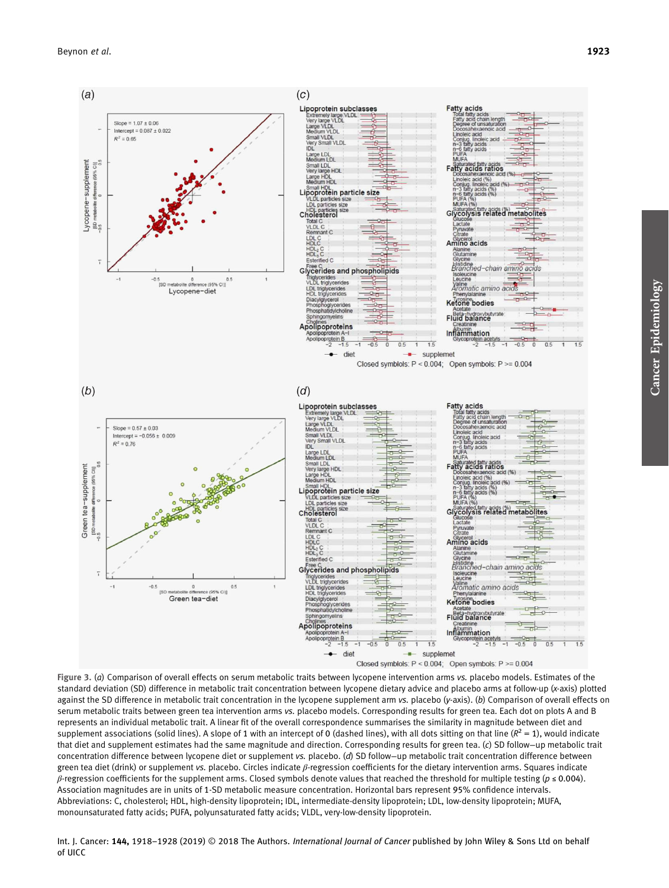



Figure 3. (a) Comparison of overall effects on serum metabolic traits between lycopene intervention arms vs. placebo models. Estimates of the standard deviation (SD) difference in metabolic trait concentration between lycopene dietary advice and placebo arms at follow-up (x-axis) plotted against the SD difference in metabolic trait concentration in the lycopene supplement arm vs. placebo (y-axis). (b) Comparison of overall effects on serum metabolic traits between green tea intervention arms vs. placebo models. Corresponding results for green tea. Each dot on plots A and B represents an individual metabolic trait. A linear fit of the overall correspondence summarises the similarity in magnitude between diet and supplement associations (solid lines). A slope of 1 with an intercept of 0 (dashed lines), with all dots sitting on that line  $(R^2 = 1)$ , would indicate that diet and supplement estimates had the same magnitude and direction. Corresponding results for green tea. (c) SD follow−up metabolic trait concentration difference between lycopene diet or supplement vs. placebo. (d) SD follow−up metabolic trait concentration difference between green tea diet (drink) or supplement vs. placebo. Circles indicate  $\beta$ -regression coefficients for the dietary intervention arms. Squares indicate β-regression coefficients for the supplement arms. Closed symbols denote values that reached the threshold for multiple testing ( $p \le 0.004$ ). Association magnitudes are in units of 1-SD metabolic measure concentration. Horizontal bars represent 95% confidence intervals. Abbreviations: C, cholesterol; HDL, high-density lipoprotein; IDL, intermediate-density lipoprotein; LDL, low-density lipoprotein; MUFA, monounsaturated fatty acids; PUFA, polyunsaturated fatty acids; VLDL, very-low-density lipoprotein.

Int. J. Cancer: 144, 1918-1928 (2019) © 2018 The Authors. International Journal of Cancer published by John Wiley & Sons Ltd on behalf of UICC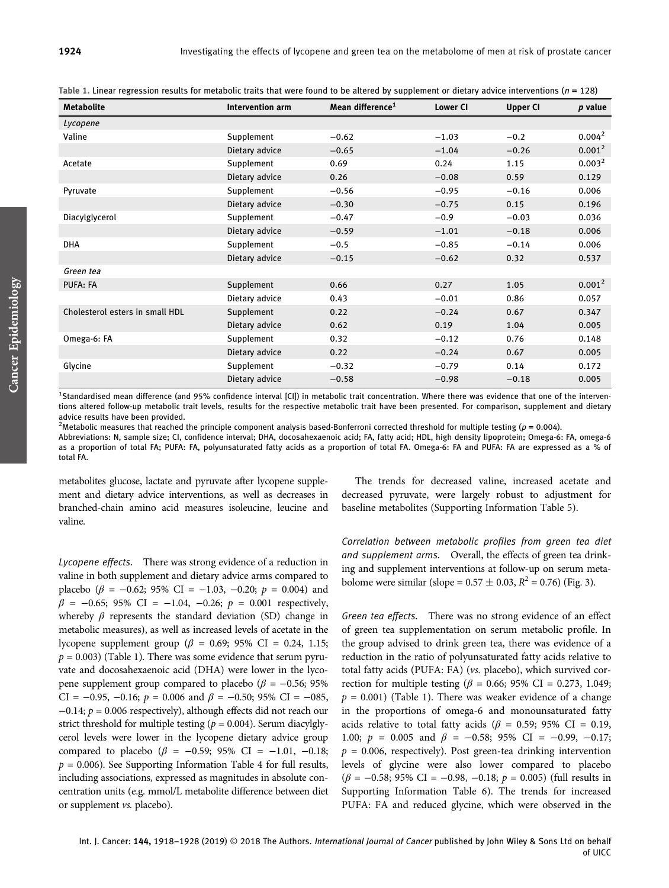| <b>Metabolite</b>               | Intervention arm | Mean difference <sup>1</sup> | <b>Lower CI</b> | <b>Upper CI</b> | p value            |
|---------------------------------|------------------|------------------------------|-----------------|-----------------|--------------------|
| Lycopene                        |                  |                              |                 |                 |                    |
| Valine                          | Supplement       | $-0.62$                      | $-1.03$         | $-0.2$          | 0.004 <sup>2</sup> |
|                                 | Dietary advice   | $-0.65$                      | $-1.04$         | $-0.26$         | 0.001 <sup>2</sup> |
| Acetate                         | Supplement       | 0.69                         | 0.24            | 1.15            | 0.003 <sup>2</sup> |
|                                 | Dietary advice   | 0.26                         | $-0.08$         | 0.59            | 0.129              |
| Pyruvate                        | Supplement       | $-0.56$                      | $-0.95$         | $-0.16$         | 0.006              |
|                                 | Dietary advice   | $-0.30$                      | $-0.75$         | 0.15            | 0.196              |
| Diacylglycerol                  | Supplement       | $-0.47$                      | $-0.9$          | $-0.03$         | 0.036              |
|                                 | Dietary advice   | $-0.59$                      | $-1.01$         | $-0.18$         | 0.006              |
| <b>DHA</b>                      | Supplement       | $-0.5$                       | $-0.85$         | $-0.14$         | 0.006              |
|                                 | Dietary advice   | $-0.15$                      | $-0.62$         | 0.32            | 0.537              |
| Green tea                       |                  |                              |                 |                 |                    |
| PUFA: FA                        | Supplement       | 0.66                         | 0.27            | 1.05            | 0.001 <sup>2</sup> |
|                                 | Dietary advice   | 0.43                         | $-0.01$         | 0.86            | 0.057              |
| Cholesterol esters in small HDL | Supplement       | 0.22                         | $-0.24$         | 0.67            | 0.347              |
|                                 | Dietary advice   | 0.62                         | 0.19            | 1.04            | 0.005              |
| Omega-6: FA                     | Supplement       | 0.32                         | $-0.12$         | 0.76            | 0.148              |
|                                 | Dietary advice   | 0.22                         | $-0.24$         | 0.67            | 0.005              |
| Glycine                         | Supplement       | $-0.32$                      | $-0.79$         | 0.14            | 0.172              |
|                                 | Dietary advice   | $-0.58$                      | $-0.98$         | $-0.18$         | 0.005              |

Table 1. Linear regression results for metabolic traits that were found to be altered by supplement or dietary advice interventions ( $n = 128$ )

<sup>1</sup>Standardised mean difference (and 95% confidence interval [CI]) in metabolic trait concentration. Where there was evidence that one of the interventions altered follow-up metabolic trait levels, results for the respective metabolic trait have been presented. For comparison, supplement and dietary advice results have been provided.

<sup>2</sup>Metabolic measures that reached the principle component analysis based-Bonferroni corrected threshold for multiple testing ( $p = 0.004$ ).

Abbreviations: N, sample size; CI, confidence interval; DHA, docosahexaenoic acid; FA, fatty acid; HDL, high density lipoprotein; Omega-6: FA, omega-6 as a proportion of total FA; PUFA: FA, polyunsaturated fatty acids as a proportion of total FA. Omega-6: FA and PUFA: FA are expressed as a % of total FA.

metabolites glucose, lactate and pyruvate after lycopene supplement and dietary advice interventions, as well as decreases in branched-chain amino acid measures isoleucine, leucine and valine.

Lycopene effects. There was strong evidence of a reduction in valine in both supplement and dietary advice arms compared to placebo ( $\beta$  = −0.62; 95% CI = −1.03, −0.20;  $p$  = 0.004) and  $\beta$  = -0.65; 95% CI = -1.04, -0.26;  $p = 0.001$  respectively, whereby  $\beta$  represents the standard deviation (SD) change in metabolic measures), as well as increased levels of acetate in the lycopene supplement group (β = 0.69; 95% CI = 0.24, 1.15;  $p = 0.003$ ) (Table 1). There was some evidence that serum pyruvate and docosahexaenoic acid (DHA) were lower in the lycopene supplement group compared to placebo ( $\beta$  = −0.56; 95%) CI =  $-0.95$ ,  $-0.16$ ;  $p = 0.006$  and  $\beta = -0.50$ ; 95% CI =  $-0.85$ ,  $-0.14$ ;  $p = 0.006$  respectively), although effects did not reach our strict threshold for multiple testing ( $p = 0.004$ ). Serum diacylglycerol levels were lower in the lycopene dietary advice group compared to placebo (β = −0.59; 95% CI = −1.01, −0.18;  $p = 0.006$ ). See Supporting Information Table 4 for full results, including associations, expressed as magnitudes in absolute concentration units (e.g. mmol/L metabolite difference between diet or supplement vs. placebo).

The trends for decreased valine, increased acetate and decreased pyruvate, were largely robust to adjustment for baseline metabolites (Supporting Information Table 5).

Correlation between metabolic profiles from green tea diet and supplement arms. Overall, the effects of green tea drinking and supplement interventions at follow-up on serum metabolome were similar (slope =  $0.57 \pm 0.03$ ,  $R^2 = 0.76$ ) (Fig. 3).

Green tea effects. There was no strong evidence of an effect of green tea supplementation on serum metabolic profile. In the group advised to drink green tea, there was evidence of a reduction in the ratio of polyunsaturated fatty acids relative to total fatty acids (PUFA: FA) (vs. placebo), which survived correction for multiple testing ( $\beta$  = 0.66; 95% CI = 0.273, 1.049;  $p = 0.001$ ) (Table 1). There was weaker evidence of a change in the proportions of omega-6 and monounsaturated fatty acids relative to total fatty acids ( $\beta$  = 0.59; 95% CI = 0.19, 1.00;  $p = 0.005$  and  $\beta = -0.58$ ; 95% CI = -0.99, -0.17;  $p = 0.006$ , respectively). Post green-tea drinking intervention levels of glycine were also lower compared to placebo  $(\beta = -0.58; 95\% \text{ CI} = -0.98, -0.18; p = 0.005)$  (full results in Supporting Information Table 6). The trends for increased PUFA: FA and reduced glycine, which were observed in the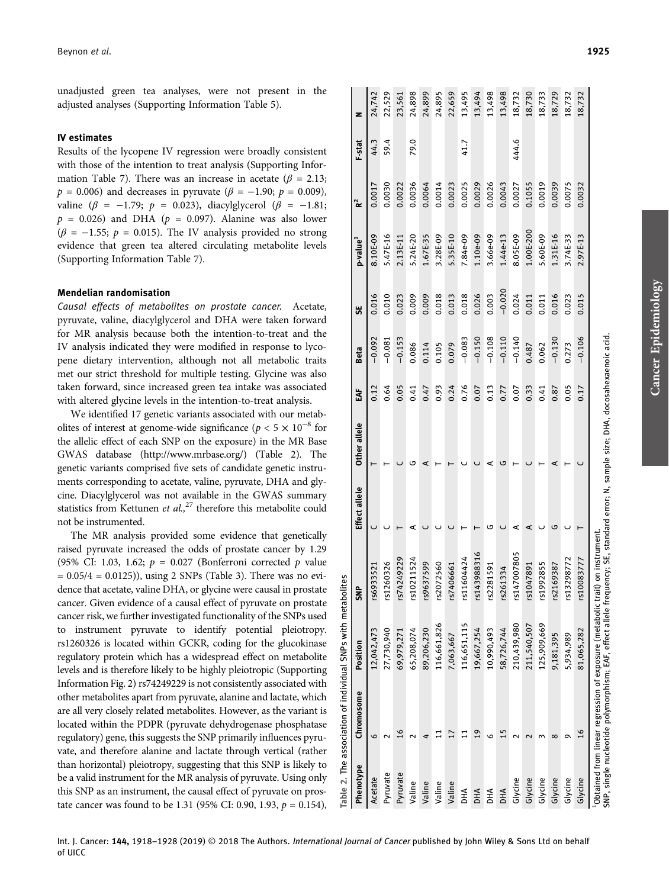unadjusted green tea analyses, were not present in the adjusted analyses (Supporting Information Table 5).

# IV estimates

Results of the lycopene IV regression were broadly consistent with those of the intention to treat analysis (Supporting Information Table 7). There was an increase in acetate ( $\beta$  = 2.13;  $p = 0.006$ ) and decreases in pyruvate ( $\beta = -1.90$ ;  $p = 0.009$ ), valine ( $\beta$  = −1.79;  $p$  = 0.023), diacylglycerol ( $\beta$  = −1.81;  $p = 0.026$ ) and DHA ( $p = 0.097$ ). Alanine was also lower  $(\beta = -1.55; p = 0.015)$ . The IV analysis provided no strong evidence that green tea altered circulating metabolite levels (Supporting Information Table 7).

# Mendelian randomisation

Causal effects of metabolites on prostate cancer. Acetate, pyruvate, valine, diacylglycerol and DHA were taken forward for MR analysis because both the intention-to-treat and the IV analysis indicated they were modified in response to lycopene dietary intervention, although not all metabolic traits met our strict threshold for multiple testing. Glycine was also taken forward, since increased green tea intake was associated with altered glycine levels in the intention-to-treat analysis.

We identified 17 genetic variants associated with our metabolites of interest at genome-wide significance ( $p < 5 \times 10^{-8}$  for the allelic effect of each SNP on the exposure) in the MR Base GWAS database ([http://www.mrbase.org/\)](http://www.mrbase.org/) (Table 2). The genetic variants comprised five sets of candidate genetic instruments corresponding to acetate, valine, pyruvate, DHA and glycine. Diacylglycerol was not available in the GWAS summary statistics from Kettunen et  $al$ ,<sup>27</sup> therefore this metabolite could not be instrumented.

The MR analysis provided some evidence that genetically raised pyruvate increased the odds of prostate cancer by 1.29 (95% CI: 1.03, 1.62;  $p = 0.027$  (Bonferroni corrected p value  $= 0.05/4 = 0.0125$ ), using 2 SNPs (Table 3). There was no evidence that acetate, valine DHA, or glycine were causal in prostate cancer. Given evidence of a causal effect of pyruvate on prostate cancer risk, we further investigated functionality of the SNPs used to instrument pyruvate to identify potential pleiotropy. rs1260326 is located within GCKR, coding for the glucokinase regulatory protein which has a widespread effect on metabolite levels and is therefore likely to be highly pleiotropic (Supporting Information Fig. 2) rs74249229 is not consistently associated with other metabolites apart from pyruvate, alanine and lactate, which are all very closely related metabolites. However, as the variant is located within the PDPR (pyruvate dehydrogenase phosphatase regulatory) gene, this suggests the SNP primarily influences pyruvate, and therefore alanine and lactate through vertical (rather than horizontal) pleiotropy, suggesting that this SNP is likely to be a valid instrument for the MR analysis of pyruvate. Using only this SNP as an instrument, the causal effect of pyruvate on prostate cancer was found to be 1.31 (95% CI: 0.90, 1.93,  $p = 0.154$ ),

| Phenotype  | Chromosome     | Position    | <b>SNP</b>                                                                   | Effect allele | Other allele | Š    | <b>Beta</b> | 5E       | p-value <sup>1</sup> | $\tilde{\mathbf{k}}$ | F-stat | z      |
|------------|----------------|-------------|------------------------------------------------------------------------------|---------------|--------------|------|-------------|----------|----------------------|----------------------|--------|--------|
| Acetate    | ١c             | 12,042,473  | rs6933521                                                                    |               |              | 0.12 | $-0.092$    | 0.016    | 8.10E-09             | 0.0017               | 44.3   | 24,742 |
| Pyruvate   |                | 27,730,940  | rs1260326                                                                    |               |              | 0.64 | $-0.081$    | 0.010    | 5.47E-16             | 0.0030               | 59.4   | 22,529 |
| Pyruvate   | $\overline{6}$ | 69,979,271  | rs74249229                                                                   |               |              | 0.05 | $-0.153$    | 0.023    | 2.13E-11             | 0.0022               |        | 23,561 |
| Valine     |                | 65,208,074  | rs10211524                                                                   |               |              | 0.41 | 0.086       | 0.009    | 5.24E-20             | 0.0036               | 79.0   | 24,898 |
| Valine     |                | 89,206,230  | rs9637599                                                                    |               |              | 0.47 | 0.114       | 0.009    | 1.67E-35             | 0.0064               |        | 24,899 |
| Valine     |                | 116,661,826 | rs2072560                                                                    |               |              | 0.93 | 0.105       | 0.018    | 3.28E-09             | 0.0014               |        | 24,895 |
| Valine     |                | 7,063,667   | rs7406661                                                                    |               |              | 0.24 | 0.079       | 0.013    | 5.35E-10             | 0.0023               |        | 22,659 |
| <b>DHA</b> |                | 116,651,115 | rs11604424                                                                   |               |              | 0.76 | $-0.083$    | 0.018    | 7.84e-09             | 0.0025               | 41.7   | 13,495 |
| <b>DHA</b> | ە              | 19,667,254  | rs143988316                                                                  |               |              | 0.07 | $-0.150$    | 0.026    | 1.10e-09             | 0.0029               |        | 13,494 |
| DНA        |                | 10,990,493  | rs2281591                                                                    |               |              | 0.13 | $-0.108$    | 0.003    | 3.66e-09             | 0.0026               |        | 13,498 |
| <b>DHA</b> |                | 58,726,744  | rs261334                                                                     |               | ى            | 0.77 | $-0.110$    | $-0.020$ | 1.44e-13             | 0.0043               |        | 13,498 |
| Glycine    |                | 210,439,980 | rs147007805                                                                  |               |              | 0.07 | $-0.140$    | 0.024    | 8.05E-09             | 0.0027               | 444.6  | 18,732 |
| Glycine    |                | 211,540,507 | rs1047891                                                                    | ⋖             |              | 0.33 | 0.487       | 0.011    | 1.00E-200            | 0.1055               |        | 18,730 |
| Glycine    |                | 125,909,669 | rs1992855                                                                    |               |              | 0.41 | 0.062       | 0.011    | 5.60E-09             | 0.0019               |        | 18,733 |
| Glycine    | œ              | 9,181,395   | rs2169387                                                                    |               | ⋖            | 0.87 | $-0.130$    | 0.016    | 1.31E-16             | 0.0039               |        | 18,729 |
| Glycine    |                | 5,934,989   | rs13298772                                                                   |               |              | 0.05 | 0.273       | 0.023    | 3.74E-33             | 0.0075               |        | 18,732 |
| Glycine    | $\frac{9}{1}$  | 81,065,282  | rs10083777                                                                   |               |              | 0.17 | $-0.106$    | 0.015    | 2.97E-13             | 0.0032               |        | 18,732 |
|            |                |             | Obtained from linear regression of exposure (metabolic trait) on instrument. |               | $\ddot{ }$   |      |             |          |                      |                      |        |        |

|  |  |  |  |  |  |  |  | <u>WA QI WA HA WA A QI WA WOLE B</u>          |
|--|--|--|--|--|--|--|--|-----------------------------------------------|
|  |  |  |  |  |  |  |  | 5 5 5 6 7 6 7 6 7 8 9 8 9 8 9 8 9 8 9 8 9 8 9 |
|  |  |  |  |  |  |  |  |                                               |

Cancer EpidemiologyCancer Epidemiology

Table 2. The association of individual SNPs with metabolites

association of

The  $\overline{\mathbf{r}}$ Tabl

individual SNPs with metabolites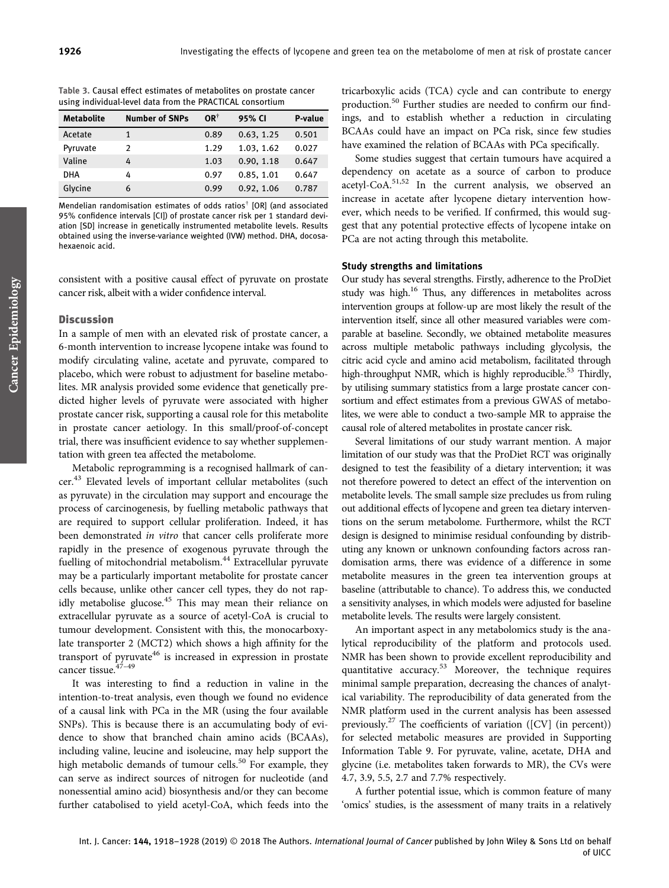|  |  |  | Table 3. Causal effect estimates of metabolites on prostate cancer |  |
|--|--|--|--------------------------------------------------------------------|--|
|  |  |  | using individual-level data from the PRACTICAL consortium          |  |

| <b>Metabolite</b> | <b>Number of SNPs</b> | $OR^{\dagger}$ | 95% CI     | P-value |
|-------------------|-----------------------|----------------|------------|---------|
| Acetate           |                       | 0.89           | 0.63, 1.25 | 0.501   |
| Pyruvate          | 2                     | 1.29           | 1.03. 1.62 | 0.027   |
| Valine            | 4                     | 1.03           | 0.90, 1.18 | 0.647   |
| <b>DHA</b>        | 4                     | 0.97           | 0.85, 1.01 | 0.647   |
| Glycine           | 6                     | 0.99           | 0.92, 1.06 | 0.787   |

Mendelian randomisation estimates of odds ratios† [OR] (and associated 95% confidence intervals [CI]) of prostate cancer risk per 1 standard deviation [SD] increase in genetically instrumented metabolite levels. Results obtained using the inverse-variance weighted (IVW) method. DHA, docosahexaenoic acid.

consistent with a positive causal effect of pyruvate on prostate cancer risk, albeit with a wider confidence interval.

## **Discussion**

In a sample of men with an elevated risk of prostate cancer, a 6-month intervention to increase lycopene intake was found to modify circulating valine, acetate and pyruvate, compared to placebo, which were robust to adjustment for baseline metabolites. MR analysis provided some evidence that genetically predicted higher levels of pyruvate were associated with higher prostate cancer risk, supporting a causal role for this metabolite in prostate cancer aetiology. In this small/proof-of-concept trial, there was insufficient evidence to say whether supplementation with green tea affected the metabolome.

Metabolic reprogramming is a recognised hallmark of cancer.<sup>43</sup> Elevated levels of important cellular metabolites (such as pyruvate) in the circulation may support and encourage the process of carcinogenesis, by fuelling metabolic pathways that are required to support cellular proliferation. Indeed, it has been demonstrated *in vitro* that cancer cells proliferate more rapidly in the presence of exogenous pyruvate through the fuelling of mitochondrial metabolism.<sup>44</sup> Extracellular pyruvate may be a particularly important metabolite for prostate cancer cells because, unlike other cancer cell types, they do not rapidly metabolise glucose.<sup>45</sup> This may mean their reliance on extracellular pyruvate as a source of acetyl-CoA is crucial to tumour development. Consistent with this, the monocarboxylate transporter 2 (MCT2) which shows a high affinity for the transport of pyruvate<sup>46</sup> is increased in expression in prostate cancer tissue.47–<sup>49</sup>

It was interesting to find a reduction in valine in the intention-to-treat analysis, even though we found no evidence of a causal link with PCa in the MR (using the four available SNPs). This is because there is an accumulating body of evidence to show that branched chain amino acids (BCAAs), including valine, leucine and isoleucine, may help support the high metabolic demands of tumour cells.<sup>50</sup> For example, they can serve as indirect sources of nitrogen for nucleotide (and nonessential amino acid) biosynthesis and/or they can become further catabolised to yield acetyl-CoA, which feeds into the tricarboxylic acids (TCA) cycle and can contribute to energy production.<sup>50</sup> Further studies are needed to confirm our findings, and to establish whether a reduction in circulating BCAAs could have an impact on PCa risk, since few studies have examined the relation of BCAAs with PCa specifically.

Some studies suggest that certain tumours have acquired a dependency on acetate as a source of carbon to produce acetyl-CoA.51,52 In the current analysis, we observed an increase in acetate after lycopene dietary intervention however, which needs to be verified. If confirmed, this would suggest that any potential protective effects of lycopene intake on PCa are not acting through this metabolite.

## Study strengths and limitations

Our study has several strengths. Firstly, adherence to the ProDiet study was high.<sup>16</sup> Thus, any differences in metabolites across intervention groups at follow-up are most likely the result of the intervention itself, since all other measured variables were comparable at baseline. Secondly, we obtained metabolite measures across multiple metabolic pathways including glycolysis, the citric acid cycle and amino acid metabolism, facilitated through high-throughput NMR, which is highly reproducible.<sup>53</sup> Thirdly, by utilising summary statistics from a large prostate cancer consortium and effect estimates from a previous GWAS of metabolites, we were able to conduct a two-sample MR to appraise the causal role of altered metabolites in prostate cancer risk.

Several limitations of our study warrant mention. A major limitation of our study was that the ProDiet RCT was originally designed to test the feasibility of a dietary intervention; it was not therefore powered to detect an effect of the intervention on metabolite levels. The small sample size precludes us from ruling out additional effects of lycopene and green tea dietary interventions on the serum metabolome. Furthermore, whilst the RCT design is designed to minimise residual confounding by distributing any known or unknown confounding factors across randomisation arms, there was evidence of a difference in some metabolite measures in the green tea intervention groups at baseline (attributable to chance). To address this, we conducted a sensitivity analyses, in which models were adjusted for baseline metabolite levels. The results were largely consistent.

An important aspect in any metabolomics study is the analytical reproducibility of the platform and protocols used. NMR has been shown to provide excellent reproducibility and quantitative accuracy.<sup>53</sup> Moreover, the technique requires minimal sample preparation, decreasing the chances of analytical variability. The reproducibility of data generated from the NMR platform used in the current analysis has been assessed previously.<sup>27</sup> The coefficients of variation ([CV] (in percent)) for selected metabolic measures are provided in Supporting Information Table 9. For pyruvate, valine, acetate, DHA and glycine (i.e. metabolites taken forwards to MR), the CVs were 4.7, 3.9, 5.5, 2.7 and 7.7% respectively.

A further potential issue, which is common feature of many 'omics' studies, is the assessment of many traits in a relatively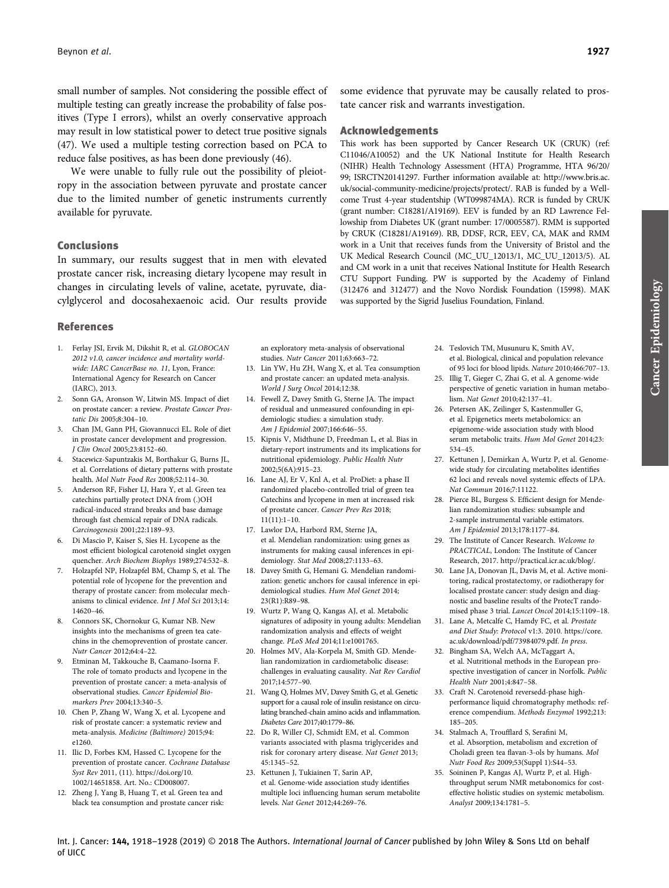small number of samples. Not considering the possible effect of multiple testing can greatly increase the probability of false positives (Type I errors), whilst an overly conservative approach may result in low statistical power to detect true positive signals (47). We used a multiple testing correction based on PCA to reduce false positives, as has been done previously (46).

We were unable to fully rule out the possibility of pleiotropy in the association between pyruvate and prostate cancer due to the limited number of genetic instruments currently available for pyruvate.

# Conclusions

In summary, our results suggest that in men with elevated prostate cancer risk, increasing dietary lycopene may result in changes in circulating levels of valine, acetate, pyruvate, diacylglycerol and docosahexaenoic acid. Our results provide

### References

- 1. Ferlay JSI, Ervik M, Dikshit R, et al. GLOBOCAN 2012 v1.0, cancer incidence and mortality worldwide: IARC CancerBase no. 11, Lyon, France: International Agency for Research on Cancer (IARC), 2013.
- Sonn GA, Aronson W, Litwin MS. Impact of diet on prostate cancer: a review. Prostate Cancer Prostatic Dis 2005;8:304–10.
- 3. Chan JM, Gann PH, Giovannucci EL. Role of diet in prostate cancer development and progression. J Clin Oncol 2005;23:8152–60.
- 4. Stacewicz-Sapuntzakis M, Borthakur G, Burns JL, et al. Correlations of dietary patterns with prostate health. Mol Nutr Food Res 2008;52:114–30.
- 5. Anderson RF, Fisher LJ, Hara Y, et al. Green tea catechins partially protect DNA from (.)OH radical-induced strand breaks and base damage through fast chemical repair of DNA radicals. Carcinogenesis 2001;22:1189–93.
- 6. Di Mascio P, Kaiser S, Sies H. Lycopene as the most efficient biological carotenoid singlet oxygen quencher. Arch Biochem Biophys 1989;274:532–8.
- 7. Holzapfel NP, Holzapfel BM, Champ S, et al. The potential role of lycopene for the prevention and therapy of prostate cancer: from molecular mechanisms to clinical evidence. Int J Mol Sci 2013;14: 14620–46.
- 8. Connors SK, Chornokur G, Kumar NB. New insights into the mechanisms of green tea catechins in the chemoprevention of prostate cancer. Nutr Cancer 2012;64:4–22.
- 9. Etminan M, Takkouche B, Caamano-Isorna F. The role of tomato products and lycopene in the prevention of prostate cancer: a meta-analysis of observational studies. Cancer Epidemiol Biomarkers Prev 2004;13:340–5.
- 10. Chen P, Zhang W, Wang X, et al. Lycopene and risk of prostate cancer: a systematic review and meta-analysis. Medicine (Baltimore) 2015;94: e1260.
- 11. Ilic D, Forbes KM, Hassed C. Lycopene for the prevention of prostate cancer. Cochrane Database Syst Rev 2011, (11). [https://doi.org/10.](https://doi.org/10.1002/14651858) [1002/14651858.](https://doi.org/10.1002/14651858) Art. No.: CD008007.
- 12. Zheng J, Yang B, Huang T, et al. Green tea and black tea consumption and prostate cancer risk:

an exploratory meta-analysis of observational studies. Nutr Cancer 2011;63:663–72.

- 13. Lin YW, Hu ZH, Wang X, et al. Tea consumption and prostate cancer: an updated meta-analysis. World J Surg Oncol 2014;12:38.
- 14. Fewell Z, Davey Smith G, Sterne JA. The impact of residual and unmeasured confounding in epidemiologic studies: a simulation study. Am J Epidemiol 2007;166:646–55.
- 15. Kipnis V, Midthune D, Freedman L, et al. Bias in dietary-report instruments and its implications for nutritional epidemiology. Public Health Nutr 2002;5(6A):915–23.
- 16. Lane AJ, Er V, Knl A, et al. ProDiet: a phase II randomized placebo-controlled trial of green tea Catechins and lycopene in men at increased risk of prostate cancer. Cancer Prev Res 2018; 11(11):1–10.
- 17. Lawlor DA, Harbord RM, Sterne JA, et al. Mendelian randomization: using genes as instruments for making causal inferences in epidemiology. Stat Med 2008;27:1133–63.
- 18. Davey Smith G, Hemani G. Mendelian randomization: genetic anchors for causal inference in epidemiological studies. Hum Mol Genet 2014; 23(R1):R89–98.
- 19. Wurtz P, Wang Q, Kangas AJ, et al. Metabolic signatures of adiposity in young adults: Mendelian randomization analysis and effects of weight change. PLoS Med 2014;11:e1001765.
- 20. Holmes MV, Ala-Korpela M, Smith GD. Mendelian randomization in cardiometabolic disease: challenges in evaluating causality. Nat Rev Cardiol 2017;14:577–90.
- 21. Wang Q, Holmes MV, Davey Smith G, et al. Genetic support for a causal role of insulin resistance on circulating branched-chain amino acids and inflammation. Diabetes Care 2017;40:1779–86.
- 22. Do R, Willer CJ, Schmidt EM, et al. Common variants associated with plasma triglycerides and risk for coronary artery disease. Nat Genet 2013; 45:1345–52.
- 23. Kettunen J, Tukiainen T, Sarin AP, et al. Genome-wide association study identifies multiple loci influencing human serum metabolite levels. Nat Genet 2012;44:269–76.

some evidence that pyruvate may be causally related to prostate cancer risk and warrants investigation.

# Acknowledgements

This work has been supported by Cancer Research UK (CRUK) (ref: C11046/A10052) and the UK National Institute for Health Research (NIHR) Health Technology Assessment (HTA) Programme, HTA 96/20/ 99; ISRCTN20141297. Further information available at: http://www.bris.ac. uk/social-community-medicine/projects/protect/. RAB is funded by a Wellcome Trust 4-year studentship (WT099874MA). RCR is funded by CRUK (grant number: C18281/A19169). EEV is funded by an RD Lawrence Fellowship from Diabetes UK (grant number: 17/0005587). RMM is supported by CRUK (C18281/A19169). RB, DDSF, RCR, EEV, CA, MAK and RMM work in a Unit that receives funds from the University of Bristol and the UK Medical Research Council (MC\_UU\_12013/1, MC\_UU\_12013/5). AL and CM work in a unit that receives [National Institute for Health Research](http://www.nihr.ac.uk/funding-and-support/funding-to-support-research/funding-to-support-research-in-the-nhs/ctu-support-funding.htm) [CTU Support Funding](http://www.nihr.ac.uk/funding-and-support/funding-to-support-research/funding-to-support-research-in-the-nhs/ctu-support-funding.htm). PW is supported by the Academy of Finland (312476 and 312477) and the Novo Nordisk Foundation (15998). MAK was supported by the Sigrid Juselius Foundation, Finland.

- 24. Teslovich TM, Musunuru K, Smith AV, et al. Biological, clinical and population relevance of 95 loci for blood lipids. Nature 2010;466:707–13.
- 25. Illig T, Gieger C, Zhai G, et al. A genome-wide perspective of genetic variation in human metabolism. Nat Genet 2010;42:137–41.
- 26. Petersen AK, Zeilinger S, Kastenmuller G, et al. Epigenetics meets metabolomics: an epigenome-wide association study with blood serum metabolic traits. Hum Mol Genet 2014;23: 534–45.
- 27. Kettunen J, Demirkan A, Wurtz P, et al. Genomewide study for circulating metabolites identifies 62 loci and reveals novel systemic effects of LPA. Nat Commun 2016;7:11122.
- 28. Pierce BL, Burgess S. Efficient design for Mendelian randomization studies: subsample and 2-sample instrumental variable estimators. Am J Epidemiol 2013;178:1177–84.
- 29. The Institute of Cancer Research. Welcome to PRACTICAL, London: The Institute of Cancer Research, 2017. [http://practical.icr.ac.uk/blog/.](http://practical.icr.ac.uk/blog/)
- 30. Lane JA, Donovan JL, Davis M, et al. Active monitoring, radical prostatectomy, or radiotherapy for localised prostate cancer: study design and diagnostic and baseline results of the ProtecT randomised phase 3 trial. Lancet Oncol 2014;15:1109–18.
- 31. Lane A, Metcalfe C, Hamdy FC, et al. Prostate and Diet Study: Protocol v1:3. 2010. [https://core.](https://core.ac.uk/download/pdf/73984079.pdf) [ac.uk/download/pdf/73984079.pdf](https://core.ac.uk/download/pdf/73984079.pdf). In press.
- 32. Bingham SA, Welch AA, McTaggart A, et al. Nutritional methods in the European prospective investigation of cancer in Norfolk. Public Health Nutr 2001;4:847–58.
- 33. Craft N. Carotenoid reversedd-phase highperformance liquid chromatography methods: reference compendium. Methods Enzymol 1992;213: 185–205.
- 34. Stalmach A, Troufflard S, Serafini M, et al. Absorption, metabolism and excretion of Choladi green tea flavan-3-ols by humans. Mol Nutr Food Res 2009;53(Suppl 1):S44–53.
- 35. Soininen P, Kangas AJ, Wurtz P, et al. Highthroughput serum NMR metabonomics for costeffective holistic studies on systemic metabolism. Analyst 2009;134:1781–5.

Int. J. Cancer: 144, 1918-1928 (2019) © 2018 The Authors. International Journal of Cancer published by John Wiley & Sons Ltd on behalf of UICC